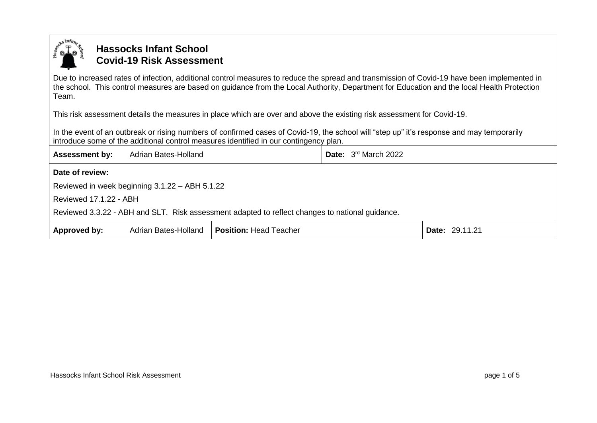

## **Hassocks Infant School Covid-19 Risk Assessment**

Due to increased rates of infection, additional control measures to reduce the spread and transmission of Covid-19 have been implemented in the school. This control measures are based on guidance from the Local Authority, Department for Education and the local Health Protection Team.

This risk assessment details the measures in place which are over and above the existing risk assessment for Covid-19.

In the event of an outbreak or rising numbers of confirmed cases of Covid-19, the school will "step up" it's response and may temporarily introduce some of the additional control measures identified in our contingency plan.

| <b>Assessment by:</b>                                                                           | Adrian Bates-Holland |                               | <b>Date:</b> $3^{\text{rd}}$ March 2022 |                |
|-------------------------------------------------------------------------------------------------|----------------------|-------------------------------|-----------------------------------------|----------------|
| Date of review:                                                                                 |                      |                               |                                         |                |
| Reviewed in week beginning 3.1.22 - ABH 5.1.22                                                  |                      |                               |                                         |                |
| Reviewed 17.1.22 - ABH                                                                          |                      |                               |                                         |                |
| Reviewed 3.3.22 - ABH and SLT. Risk assessment adapted to reflect changes to national guidance. |                      |                               |                                         |                |
| Approved by:                                                                                    | Adrian Bates-Holland | <b>Position: Head Teacher</b> |                                         | Date: 29.11.21 |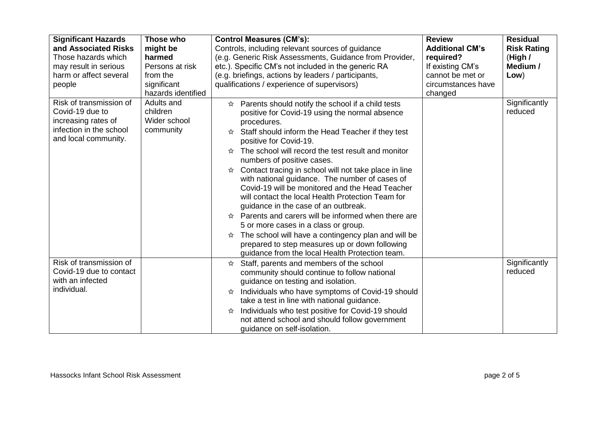| <b>Significant Hazards</b><br>and Associated Risks<br>Those hazards which<br>may result in serious<br>harm or affect several<br>people | Those who<br>might be<br>harmed<br>Persons at risk<br>from the<br>significant<br>hazards identified | <b>Control Measures (CM's):</b><br>Controls, including relevant sources of guidance<br>(e.g. Generic Risk Assessments, Guidance from Provider,<br>etc.). Specific CM's not included in the generic RA<br>(e.g. briefings, actions by leaders / participants,<br>qualifications / experience of supervisors)                                                                                                                                                                                                                                                                                                                                                                                                                                                                                                                                                   | <b>Review</b><br><b>Additional CM's</b><br>required?<br>If existing CM's<br>cannot be met or<br>circumstances have<br>changed | <b>Residual</b><br><b>Risk Rating</b><br>(High $/$<br>Medium /<br>Low) |
|----------------------------------------------------------------------------------------------------------------------------------------|-----------------------------------------------------------------------------------------------------|---------------------------------------------------------------------------------------------------------------------------------------------------------------------------------------------------------------------------------------------------------------------------------------------------------------------------------------------------------------------------------------------------------------------------------------------------------------------------------------------------------------------------------------------------------------------------------------------------------------------------------------------------------------------------------------------------------------------------------------------------------------------------------------------------------------------------------------------------------------|-------------------------------------------------------------------------------------------------------------------------------|------------------------------------------------------------------------|
| Risk of transmission of<br>Covid-19 due to<br>increasing rates of<br>infection in the school<br>and local community.                   | Adults and<br>children<br>Wider school<br>community                                                 | $\hat{x}$ Parents should notify the school if a child tests<br>positive for Covid-19 using the normal absence<br>procedures.<br>$\hat{x}$ Staff should inform the Head Teacher if they test<br>positive for Covid-19.<br>The school will record the test result and monitor<br>⊀≿<br>numbers of positive cases.<br>Contact tracing in school will not take place in line<br>with national guidance. The number of cases of<br>Covid-19 will be monitored and the Head Teacher<br>will contact the local Health Protection Team for<br>guidance in the case of an outbreak.<br>$\hat{\mathcal{R}}$ Parents and carers will be informed when there are<br>5 or more cases in a class or group.<br>The school will have a contingency plan and will be<br>☆<br>prepared to step measures up or down following<br>guidance from the local Health Protection team. |                                                                                                                               | Significantly<br>reduced                                               |
| Risk of transmission of<br>Covid-19 due to contact<br>with an infected<br>individual.                                                  |                                                                                                     | Staff, parents and members of the school<br>☆<br>community should continue to follow national<br>guidance on testing and isolation.<br>Individuals who have symptoms of Covid-19 should<br>☆<br>take a test in line with national guidance.<br>Individuals who test positive for Covid-19 should<br>☆<br>not attend school and should follow government<br>guidance on self-isolation.                                                                                                                                                                                                                                                                                                                                                                                                                                                                        |                                                                                                                               | Significantly<br>reduced                                               |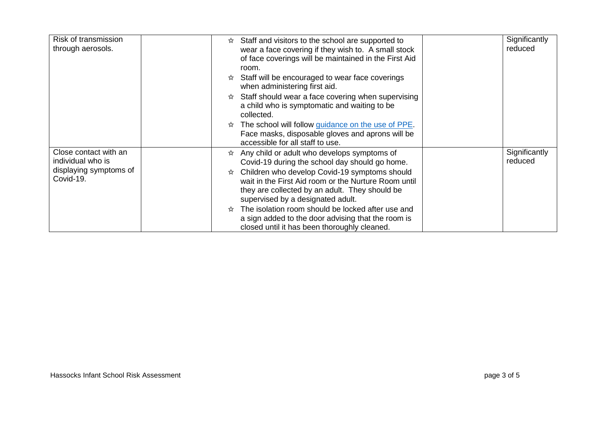| Risk of transmission<br>through aerosols.  | Staff and visitors to the school are supported to<br>☆<br>wear a face covering if they wish to. A small stock<br>of face coverings will be maintained in the First Aid<br>room.<br>Staff will be encouraged to wear face coverings | Significantly<br>reduced |
|--------------------------------------------|------------------------------------------------------------------------------------------------------------------------------------------------------------------------------------------------------------------------------------|--------------------------|
|                                            | when administering first aid.<br>$\hat{\mathcal{R}}$ Staff should wear a face covering when supervising                                                                                                                            |                          |
|                                            | a child who is symptomatic and waiting to be<br>collected.                                                                                                                                                                         |                          |
|                                            | The school will follow <i>guidance</i> on the use of PPE.<br>Face masks, disposable gloves and aprons will be<br>accessible for all staff to use.                                                                                  |                          |
| Close contact with an<br>individual who is | $\hat{x}$ Any child or adult who develops symptoms of<br>Covid-19 during the school day should go home.                                                                                                                            | Significantly<br>reduced |
| displaying symptoms of<br>Covid-19.        | Children who develop Covid-19 symptoms should<br>☆<br>wait in the First Aid room or the Nurture Room until<br>they are collected by an adult. They should be<br>supervised by a designated adult.                                  |                          |
|                                            | The isolation room should be locked after use and<br>a sign added to the door advising that the room is<br>closed until it has been thoroughly cleaned.                                                                            |                          |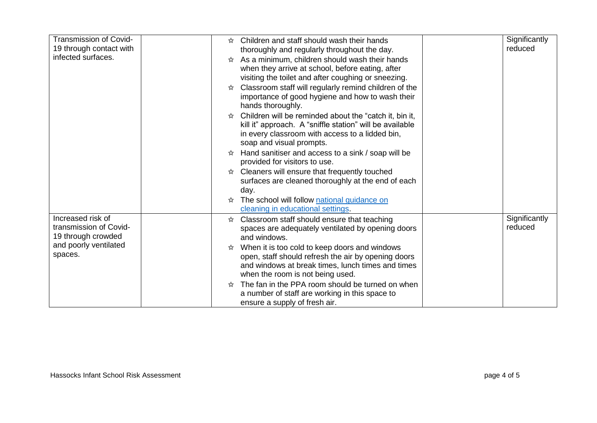| Transmission of Covid-  | Children and staff should wash their hands<br>ኢዮ                | Significantly |
|-------------------------|-----------------------------------------------------------------|---------------|
| 19 through contact with | thoroughly and regularly throughout the day.                    | reduced       |
| infected surfaces.      | As a minimum, children should wash their hands<br>☆             |               |
|                         | when they arrive at school, before eating, after                |               |
|                         | visiting the toilet and after coughing or sneezing.             |               |
|                         | Classroom staff will regularly remind children of the<br>☆      |               |
|                         | importance of good hygiene and how to wash their                |               |
|                         | hands thoroughly.                                               |               |
|                         | Children will be reminded about the "catch it, bin it,<br>☆     |               |
|                         | kill it" approach. A "sniffle station" will be available        |               |
|                         | in every classroom with access to a lidded bin,                 |               |
|                         | soap and visual prompts.                                        |               |
|                         | Hand sanitiser and access to a sink / soap will be              |               |
|                         | provided for visitors to use.                                   |               |
|                         | $\hat{\mathbf{x}}$ Cleaners will ensure that frequently touched |               |
|                         | surfaces are cleaned thoroughly at the end of each              |               |
|                         | day.                                                            |               |
|                         | The school will follow national guidance on<br>☆                |               |
|                         | cleaning in educational settings.                               |               |
| Increased risk of       | Classroom staff should ensure that teaching<br>☆                | Significantly |
| transmission of Covid-  | spaces are adequately ventilated by opening doors               | reduced       |
| 19 through crowded      | and windows.                                                    |               |
| and poorly ventilated   | When it is too cold to keep doors and windows<br>☆              |               |
| spaces.                 | open, staff should refresh the air by opening doors             |               |
|                         | and windows at break times, lunch times and times               |               |
|                         | when the room is not being used.                                |               |
|                         | The fan in the PPA room should be turned on when<br>☆           |               |
|                         | a number of staff are working in this space to                  |               |
|                         | ensure a supply of fresh air.                                   |               |